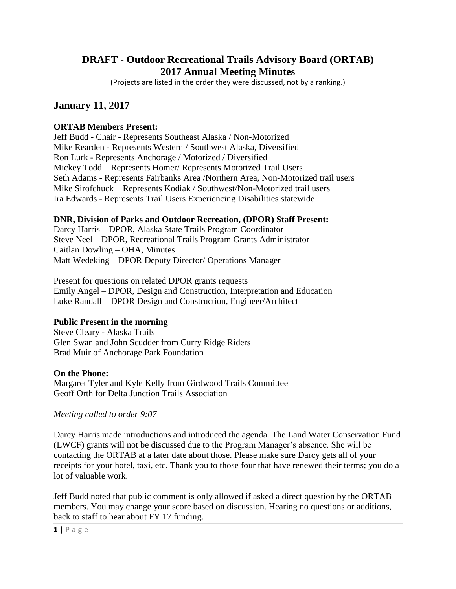# **DRAFT - Outdoor Recreational Trails Advisory Board (ORTAB) 2017 Annual Meeting Minutes**

(Projects are listed in the order they were discussed, not by a ranking.)

# **January 11, 2017**

# **ORTAB Members Present:**

Jeff Budd - Chair - Represents Southeast Alaska / Non-Motorized Mike Rearden - Represents Western / Southwest Alaska, Diversified Ron Lurk - Represents Anchorage / Motorized / Diversified Mickey Todd – Represents Homer/ Represents Motorized Trail Users Seth Adams - Represents Fairbanks Area /Northern Area, Non-Motorized trail users Mike Sirofchuck – Represents Kodiak / Southwest/Non-Motorized trail users Ira Edwards - Represents Trail Users Experiencing Disabilities statewide

# **DNR, Division of Parks and Outdoor Recreation, (DPOR) Staff Present:**

Darcy Harris – DPOR, Alaska State Trails Program Coordinator Steve Neel – DPOR, Recreational Trails Program Grants Administrator Caitlan Dowling – OHA, Minutes Matt Wedeking – DPOR Deputy Director/ Operations Manager

Present for questions on related DPOR grants requests Emily Angel – DPOR, Design and Construction, Interpretation and Education Luke Randall – DPOR Design and Construction, Engineer/Architect

# **Public Present in the morning**

Steve Cleary - Alaska Trails Glen Swan and John Scudder from Curry Ridge Riders Brad Muir of Anchorage Park Foundation

# **On the Phone:**

Margaret Tyler and Kyle Kelly from Girdwood Trails Committee Geoff Orth for Delta Junction Trails Association

#### *Meeting called to order 9:07*

Darcy Harris made introductions and introduced the agenda. The Land Water Conservation Fund (LWCF) grants will not be discussed due to the Program Manager's absence. She will be contacting the ORTAB at a later date about those. Please make sure Darcy gets all of your receipts for your hotel, taxi, etc. Thank you to those four that have renewed their terms; you do a lot of valuable work.

Jeff Budd noted that public comment is only allowed if asked a direct question by the ORTAB members. You may change your score based on discussion. Hearing no questions or additions, back to staff to hear about FY 17 funding.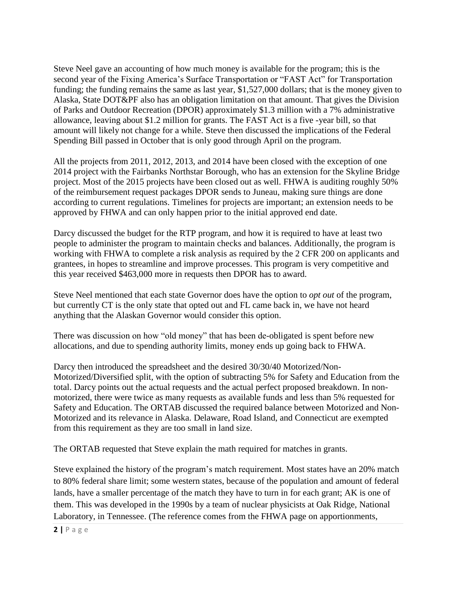Steve Neel gave an accounting of how much money is available for the program; this is the second year of the Fixing America's Surface Transportation or "FAST Act" for Transportation funding; the funding remains the same as last year, \$1,527,000 dollars; that is the money given to Alaska, State DOT&PF also has an obligation limitation on that amount. That gives the Division of Parks and Outdoor Recreation (DPOR) approximately \$1.3 million with a 7% administrative allowance, leaving about \$1.2 million for grants. The FAST Act is a five -year bill, so that amount will likely not change for a while. Steve then discussed the implications of the Federal Spending Bill passed in October that is only good through April on the program.

All the projects from 2011, 2012, 2013, and 2014 have been closed with the exception of one 2014 project with the Fairbanks Northstar Borough, who has an extension for the Skyline Bridge project. Most of the 2015 projects have been closed out as well. FHWA is auditing roughly 50% of the reimbursement request packages DPOR sends to Juneau, making sure things are done according to current regulations. Timelines for projects are important; an extension needs to be approved by FHWA and can only happen prior to the initial approved end date.

Darcy discussed the budget for the RTP program, and how it is required to have at least two people to administer the program to maintain checks and balances. Additionally, the program is working with FHWA to complete a risk analysis as required by the 2 CFR 200 on applicants and grantees, in hopes to streamline and improve processes. This program is very competitive and this year received \$463,000 more in requests then DPOR has to award.

Steve Neel mentioned that each state Governor does have the option to *opt out* of the program, but currently CT is the only state that opted out and FL came back in, we have not heard anything that the Alaskan Governor would consider this option.

There was discussion on how "old money" that has been de-obligated is spent before new allocations, and due to spending authority limits, money ends up going back to FHWA.

Darcy then introduced the spreadsheet and the desired 30/30/40 Motorized/Non-Motorized/Diversified split, with the option of subtracting 5% for Safety and Education from the total. Darcy points out the actual requests and the actual perfect proposed breakdown. In nonmotorized, there were twice as many requests as available funds and less than 5% requested for Safety and Education. The ORTAB discussed the required balance between Motorized and Non-Motorized and its relevance in Alaska. Delaware, Road Island, and Connecticut are exempted from this requirement as they are too small in land size.

The ORTAB requested that Steve explain the math required for matches in grants.

Steve explained the history of the program's match requirement. Most states have an 20% match to 80% federal share limit; some western states, because of the population and amount of federal lands, have a smaller percentage of the match they have to turn in for each grant; AK is one of them. This was developed in the 1990s by a team of nuclear physicists at Oak Ridge, National Laboratory, in Tennessee. (The reference comes from the FHWA page on apportionments,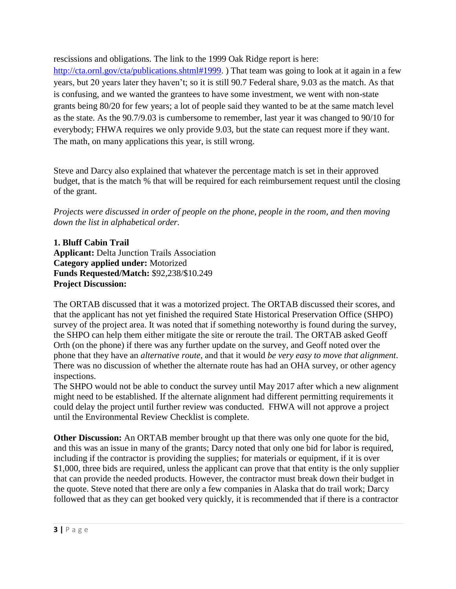rescissions and obligations. The link to the 1999 Oak Ridge report is here:

[http://cta.ornl.gov/cta/publications.shtml#1999.](http://cta.ornl.gov/cta/publications.shtml#1999)) That team was going to look at it again in a few years, but 20 years later they haven't; so it is still 90.7 Federal share, 9.03 as the match. As that is confusing, and we wanted the grantees to have some investment, we went with non-state grants being 80/20 for few years; a lot of people said they wanted to be at the same match level as the state. As the 90.7/9.03 is cumbersome to remember, last year it was changed to 90/10 for everybody; FHWA requires we only provide 9.03, but the state can request more if they want. The math, on many applications this year, is still wrong.

Steve and Darcy also explained that whatever the percentage match is set in their approved budget, that is the match % that will be required for each reimbursement request until the closing of the grant.

*Projects were discussed in order of people on the phone, people in the room, and then moving down the list in alphabetical order.* 

**1. Bluff Cabin Trail Applicant:** Delta Junction Trails Association **Category applied under:** Motorized **Funds Requested/Match:** \$92,238/\$10.249 **Project Discussion:** 

The ORTAB discussed that it was a motorized project. The ORTAB discussed their scores, and that the applicant has not yet finished the required State Historical Preservation Office (SHPO) survey of the project area. It was noted that if something noteworthy is found during the survey, the SHPO can help them either mitigate the site or reroute the trail. The ORTAB asked Geoff Orth (on the phone) if there was any further update on the survey, and Geoff noted over the phone that they have an *alternative route*, and that it would *be very easy to move that alignment*. There was no discussion of whether the alternate route has had an OHA survey, or other agency inspections.

The SHPO would not be able to conduct the survey until May 2017 after which a new alignment might need to be established. If the alternate alignment had different permitting requirements it could delay the project until further review was conducted. FHWA will not approve a project until the Environmental Review Checklist is complete.

**Other Discussion:** An ORTAB member brought up that there was only one quote for the bid, and this was an issue in many of the grants; Darcy noted that only one bid for labor is required, including if the contractor is providing the supplies; for materials or equipment, if it is over \$1,000, three bids are required, unless the applicant can prove that that entity is the only supplier that can provide the needed products. However, the contractor must break down their budget in the quote. Steve noted that there are only a few companies in Alaska that do trail work; Darcy followed that as they can get booked very quickly, it is recommended that if there is a contractor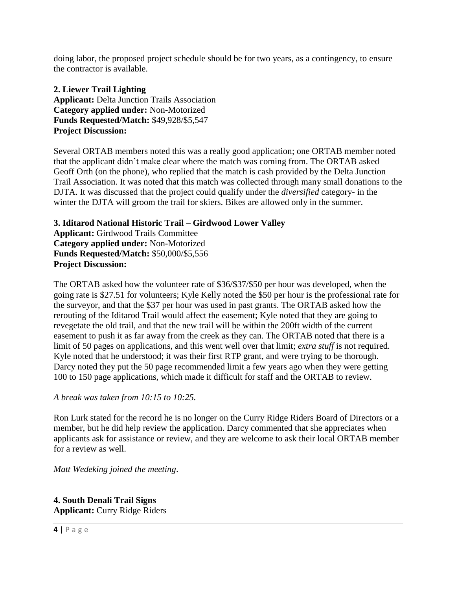doing labor, the proposed project schedule should be for two years, as a contingency, to ensure the contractor is available.

**2. Liewer Trail Lighting Applicant:** Delta Junction Trails Association **Category applied under:** Non-Motorized **Funds Requested/Match:** \$49,928/\$5,547 **Project Discussion:** 

Several ORTAB members noted this was a really good application; one ORTAB member noted that the applicant didn't make clear where the match was coming from. The ORTAB asked Geoff Orth (on the phone), who replied that the match is cash provided by the Delta Junction Trail Association. It was noted that this match was collected through many small donations to the DJTA. It was discussed that the project could qualify under the *diversified* category- in the winter the DJTA will groom the trail for skiers. Bikes are allowed only in the summer.

**3. Iditarod National Historic Trail – Girdwood Lower Valley Applicant:** Girdwood Trails Committee **Category applied under:** Non-Motorized **Funds Requested/Match:** \$50,000/\$5,556 **Project Discussion:** 

The ORTAB asked how the volunteer rate of \$36/\$37/\$50 per hour was developed, when the going rate is \$27.51 for volunteers; Kyle Kelly noted the \$50 per hour is the professional rate for the surveyor, and that the \$37 per hour was used in past grants. The ORTAB asked how the rerouting of the Iditarod Trail would affect the easement; Kyle noted that they are going to revegetate the old trail, and that the new trail will be within the 200ft width of the current easement to push it as far away from the creek as they can. The ORTAB noted that there is a limit of 50 pages on applications, and this went well over that limit; *extra stuff* is not required. Kyle noted that he understood; it was their first RTP grant, and were trying to be thorough. Darcy noted they put the 50 page recommended limit a few years ago when they were getting 100 to 150 page applications, which made it difficult for staff and the ORTAB to review.

*A break was taken from 10:15 to 10:25.*

Ron Lurk stated for the record he is no longer on the Curry Ridge Riders Board of Directors or a member, but he did help review the application. Darcy commented that she appreciates when applicants ask for assistance or review, and they are welcome to ask their local ORTAB member for a review as well.

*Matt Wedeking joined the meeting*.

**4. South Denali Trail Signs Applicant:** Curry Ridge Riders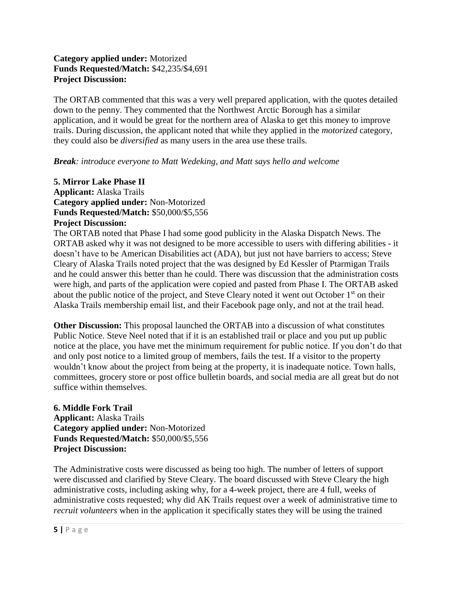# **Category applied under:** Motorized **Funds Requested/Match:** \$42,235/\$4,691 **Project Discussion:**

The ORTAB commented that this was a very well prepared application, with the quotes detailed down to the penny. They commented that the Northwest Arctic Borough has a similar application, and it would be great for the northern area of Alaska to get this money to improve trails. During discussion, the applicant noted that while they applied in the *motorized* category, they could also be *diversified* as many users in the area use these trails.

# *Break: introduce everyone to Matt Wedeking, and Matt says hello and welcome*

#### **5. Mirror Lake Phase II Applicant:** Alaska Trails **Category applied under:** Non-Motorized **Funds Requested/Match:** \$50,000/\$5,556 **Project Discussion:**

The ORTAB noted that Phase I had some good publicity in the Alaska Dispatch News. The ORTAB asked why it was not designed to be more accessible to users with differing abilities - it doesn't have to be American Disabilities act (ADA), but just not have barriers to access; Steve Cleary of Alaska Trails noted project that the was designed by Ed Kessler of Ptarmigan Trails and he could answer this better than he could. There was discussion that the administration costs were high, and parts of the application were copied and pasted from Phase I. The ORTAB asked about the public notice of the project, and Steve Cleary noted it went out October 1<sup>st</sup> on their Alaska Trails membership email list, and their Facebook page only, and not at the trail head.

**Other Discussion:** This proposal launched the ORTAB into a discussion of what constitutes Public Notice. Steve Neel noted that if it is an established trail or place and you put up public notice at the place, you have met the minimum requirement for public notice. If you don't do that and only post notice to a limited group of members, fails the test. If a visitor to the property wouldn't know about the project from being at the property, it is inadequate notice. Town halls, committees, grocery store or post office bulletin boards, and social media are all great but do not suffice within themselves.

# **6. Middle Fork Trail Applicant:** Alaska Trails **Category applied under:** Non-Motorized **Funds Requested/Match:** \$50,000/\$5,556 **Project Discussion:**

The Administrative costs were discussed as being too high. The number of letters of support were discussed and clarified by Steve Cleary. The board discussed with Steve Cleary the high administrative costs, including asking why, for a 4-week project, there are 4 full, weeks of administrative costs requested; why did AK Trails request over a week of administrative time to *recruit volunteers* when in the application it specifically states they will be using the trained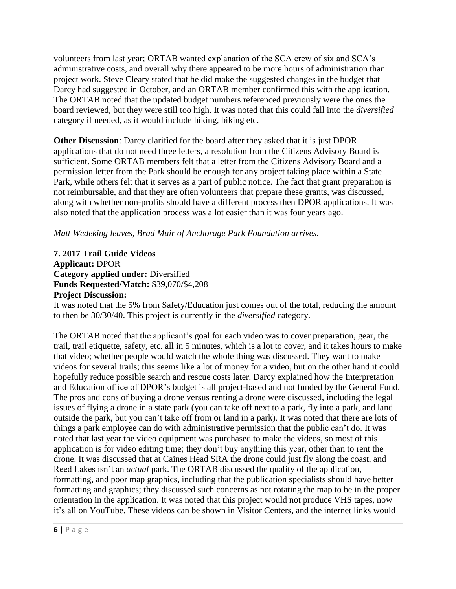volunteers from last year; ORTAB wanted explanation of the SCA crew of six and SCA's administrative costs, and overall why there appeared to be more hours of administration than project work. Steve Cleary stated that he did make the suggested changes in the budget that Darcy had suggested in October, and an ORTAB member confirmed this with the application. The ORTAB noted that the updated budget numbers referenced previously were the ones the board reviewed, but they were still too high. It was noted that this could fall into the *diversified* category if needed, as it would include hiking, biking etc.

**Other Discussion**: Darcy clarified for the board after they asked that it is just DPOR applications that do not need three letters, a resolution from the Citizens Advisory Board is sufficient. Some ORTAB members felt that a letter from the Citizens Advisory Board and a permission letter from the Park should be enough for any project taking place within a State Park, while others felt that it serves as a part of public notice. The fact that grant preparation is not reimbursable, and that they are often volunteers that prepare these grants, was discussed, along with whether non-profits should have a different process then DPOR applications. It was also noted that the application process was a lot easier than it was four years ago.

*Matt Wedeking leaves, Brad Muir of Anchorage Park Foundation arrives.*

**7. 2017 Trail Guide Videos Applicant:** DPOR **Category applied under:** Diversified **Funds Requested/Match:** \$39,070/\$4,208 **Project Discussion:** 

It was noted that the 5% from Safety/Education just comes out of the total, reducing the amount to then be 30/30/40. This project is currently in the *diversified* category.

The ORTAB noted that the applicant's goal for each video was to cover preparation, gear, the trail, trail etiquette, safety, etc. all in 5 minutes, which is a lot to cover, and it takes hours to make that video; whether people would watch the whole thing was discussed. They want to make videos for several trails; this seems like a lot of money for a video, but on the other hand it could hopefully reduce possible search and rescue costs later. Darcy explained how the Interpretation and Education office of DPOR's budget is all project-based and not funded by the General Fund. The pros and cons of buying a drone versus renting a drone were discussed, including the legal issues of flying a drone in a state park (you can take off next to a park, fly into a park, and land outside the park, but you can't take off from or land in a park). It was noted that there are lots of things a park employee can do with administrative permission that the public can't do. It was noted that last year the video equipment was purchased to make the videos, so most of this application is for video editing time; they don't buy anything this year, other than to rent the drone. It was discussed that at Caines Head SRA the drone could just fly along the coast, and Reed Lakes isn't an *actual* park. The ORTAB discussed the quality of the application, formatting, and poor map graphics, including that the publication specialists should have better formatting and graphics; they discussed such concerns as not rotating the map to be in the proper orientation in the application. It was noted that this project would not produce VHS tapes, now it's all on YouTube. These videos can be shown in Visitor Centers, and the internet links would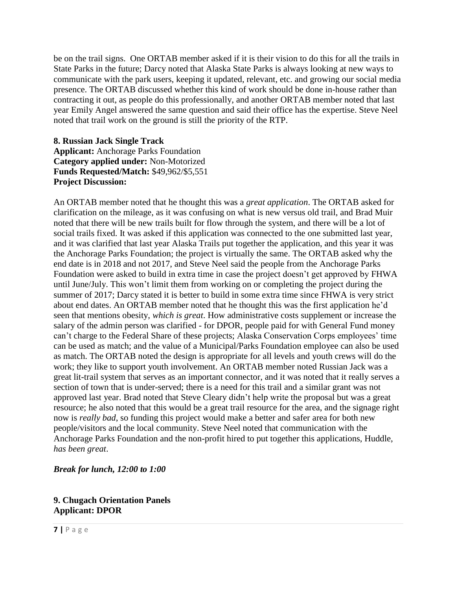be on the trail signs. One ORTAB member asked if it is their vision to do this for all the trails in State Parks in the future; Darcy noted that Alaska State Parks is always looking at new ways to communicate with the park users, keeping it updated, relevant, etc. and growing our social media presence. The ORTAB discussed whether this kind of work should be done in-house rather than contracting it out, as people do this professionally, and another ORTAB member noted that last year Emily Angel answered the same question and said their office has the expertise. Steve Neel noted that trail work on the ground is still the priority of the RTP.

# **8. Russian Jack Single Track Applicant:** Anchorage Parks Foundation **Category applied under:** Non-Motorized **Funds Requested/Match:** \$49,962/\$5,551 **Project Discussion:**

An ORTAB member noted that he thought this was a *great application*. The ORTAB asked for clarification on the mileage, as it was confusing on what is new versus old trail, and Brad Muir noted that there will be new trails built for flow through the system, and there will be a lot of social trails fixed. It was asked if this application was connected to the one submitted last year, and it was clarified that last year Alaska Trails put together the application, and this year it was the Anchorage Parks Foundation; the project is virtually the same. The ORTAB asked why the end date is in 2018 and not 2017, and Steve Neel said the people from the Anchorage Parks Foundation were asked to build in extra time in case the project doesn't get approved by FHWA until June/July. This won't limit them from working on or completing the project during the summer of 2017; Darcy stated it is better to build in some extra time since FHWA is very strict about end dates. An ORTAB member noted that he thought this was the first application he'd seen that mentions obesity, *which is great*. How administrative costs supplement or increase the salary of the admin person was clarified - for DPOR, people paid for with General Fund money can't charge to the Federal Share of these projects; Alaska Conservation Corps employees' time can be used as match; and the value of a Municipal/Parks Foundation employee can also be used as match. The ORTAB noted the design is appropriate for all levels and youth crews will do the work; they like to support youth involvement. An ORTAB member noted Russian Jack was a great lit-trail system that serves as an important connector, and it was noted that it really serves a section of town that is under-served; there is a need for this trail and a similar grant was not approved last year. Brad noted that Steve Cleary didn't help write the proposal but was a great resource; he also noted that this would be a great trail resource for the area, and the signage right now is *really bad*, so funding this project would make a better and safer area for both new people/visitors and the local community. Steve Neel noted that communication with the Anchorage Parks Foundation and the non-profit hired to put together this applications, Huddle, *has been great*.

# *Break for lunch, 12:00 to 1:00*

#### **9. Chugach Orientation Panels Applicant: DPOR**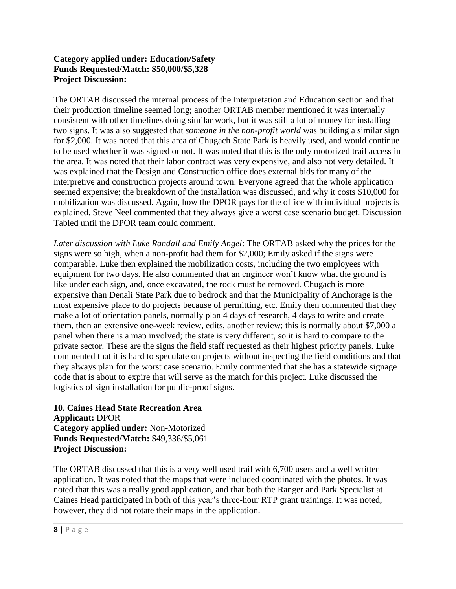# **Category applied under: Education/Safety Funds Requested/Match: \$50,000/\$5,328 Project Discussion:**

The ORTAB discussed the internal process of the Interpretation and Education section and that their production timeline seemed long; another ORTAB member mentioned it was internally consistent with other timelines doing similar work, but it was still a lot of money for installing two signs. It was also suggested that *someone in the non-profit world* was building a similar sign for \$2,000. It was noted that this area of Chugach State Park is heavily used, and would continue to be used whether it was signed or not. It was noted that this is the only motorized trail access in the area. It was noted that their labor contract was very expensive, and also not very detailed. It was explained that the Design and Construction office does external bids for many of the interpretive and construction projects around town. Everyone agreed that the whole application seemed expensive; the breakdown of the installation was discussed, and why it costs \$10,000 for mobilization was discussed. Again, how the DPOR pays for the office with individual projects is explained. Steve Neel commented that they always give a worst case scenario budget. Discussion Tabled until the DPOR team could comment.

*Later discussion with Luke Randall and Emily Angel*: The ORTAB asked why the prices for the signs were so high, when a non-profit had them for \$2,000; Emily asked if the signs were comparable. Luke then explained the mobilization costs, including the two employees with equipment for two days. He also commented that an engineer won't know what the ground is like under each sign, and, once excavated, the rock must be removed. Chugach is more expensive than Denali State Park due to bedrock and that the Municipality of Anchorage is the most expensive place to do projects because of permitting, etc. Emily then commented that they make a lot of orientation panels, normally plan 4 days of research, 4 days to write and create them, then an extensive one-week review, edits, another review; this is normally about \$7,000 a panel when there is a map involved; the state is very different, so it is hard to compare to the private sector. These are the signs the field staff requested as their highest priority panels. Luke commented that it is hard to speculate on projects without inspecting the field conditions and that they always plan for the worst case scenario. Emily commented that she has a statewide signage code that is about to expire that will serve as the match for this project. Luke discussed the logistics of sign installation for public-proof signs.

**10. Caines Head State Recreation Area Applicant:** DPOR **Category applied under:** Non-Motorized **Funds Requested/Match:** \$49,336/\$5,061 **Project Discussion:**

The ORTAB discussed that this is a very well used trail with 6,700 users and a well written application. It was noted that the maps that were included coordinated with the photos. It was noted that this was a really good application, and that both the Ranger and Park Specialist at Caines Head participated in both of this year's three-hour RTP grant trainings. It was noted, however, they did not rotate their maps in the application.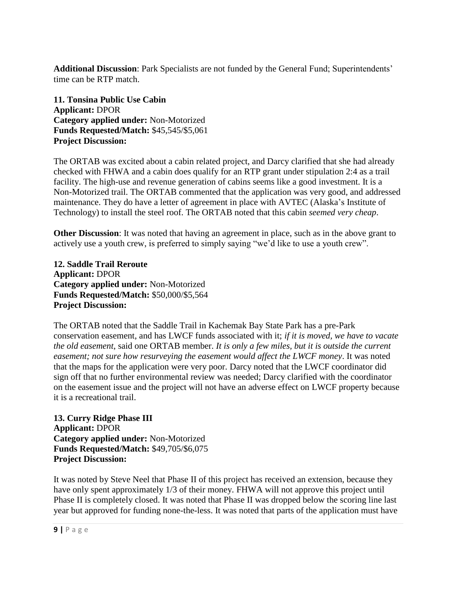**Additional Discussion**: Park Specialists are not funded by the General Fund; Superintendents' time can be RTP match.

**11. Tonsina Public Use Cabin Applicant:** DPOR **Category applied under:** Non-Motorized **Funds Requested/Match:** \$45,545/\$5,061 **Project Discussion:**

The ORTAB was excited about a cabin related project, and Darcy clarified that she had already checked with FHWA and a cabin does qualify for an RTP grant under stipulation 2:4 as a trail facility. The high-use and revenue generation of cabins seems like a good investment. It is a Non-Motorized trail. The ORTAB commented that the application was very good, and addressed maintenance. They do have a letter of agreement in place with AVTEC (Alaska's Institute of Technology) to install the steel roof. The ORTAB noted that this cabin *seemed very cheap*.

**Other Discussion**: It was noted that having an agreement in place, such as in the above grant to actively use a youth crew, is preferred to simply saying "we'd like to use a youth crew".

**12. Saddle Trail Reroute Applicant:** DPOR **Category applied under:** Non-Motorized **Funds Requested/Match:** \$50,000/\$5,564 **Project Discussion:**

The ORTAB noted that the Saddle Trail in Kachemak Bay State Park has a pre-Park conservation easement, and has LWCF funds associated with it; *if it is moved, we have to vacate the old easement*, said one ORTAB member. *It is only a few miles, but it is outside the current easement; not sure how resurveying the easement would affect the LWCF money*. It was noted that the maps for the application were very poor. Darcy noted that the LWCF coordinator did sign off that no further environmental review was needed; Darcy clarified with the coordinator on the easement issue and the project will not have an adverse effect on LWCF property because it is a recreational trail.

**13. Curry Ridge Phase III Applicant:** DPOR **Category applied under:** Non-Motorized **Funds Requested/Match:** \$49,705/\$6,075 **Project Discussion:**

It was noted by Steve Neel that Phase II of this project has received an extension, because they have only spent approximately 1/3 of their money. FHWA will not approve this project until Phase II is completely closed. It was noted that Phase II was dropped below the scoring line last year but approved for funding none-the-less. It was noted that parts of the application must have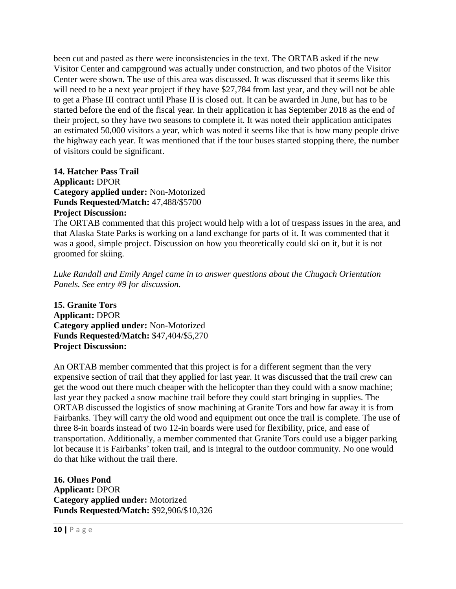been cut and pasted as there were inconsistencies in the text. The ORTAB asked if the new Visitor Center and campground was actually under construction, and two photos of the Visitor Center were shown. The use of this area was discussed. It was discussed that it seems like this will need to be a next year project if they have \$27,784 from last year, and they will not be able to get a Phase III contract until Phase II is closed out. It can be awarded in June, but has to be started before the end of the fiscal year. In their application it has September 2018 as the end of their project, so they have two seasons to complete it. It was noted their application anticipates an estimated 50,000 visitors a year, which was noted it seems like that is how many people drive the highway each year. It was mentioned that if the tour buses started stopping there, the number of visitors could be significant.

**14. Hatcher Pass Trail Applicant:** DPOR **Category applied under:** Non-Motorized **Funds Requested/Match:** 47,488/\$5700 **Project Discussion:**

The ORTAB commented that this project would help with a lot of trespass issues in the area, and that Alaska State Parks is working on a land exchange for parts of it. It was commented that it was a good, simple project. Discussion on how you theoretically could ski on it, but it is not groomed for skiing.

*Luke Randall and Emily Angel came in to answer questions about the Chugach Orientation Panels. See entry #9 for discussion.*

**15. Granite Tors Applicant:** DPOR **Category applied under:** Non-Motorized **Funds Requested/Match:** \$47,404/\$5,270 **Project Discussion:**

An ORTAB member commented that this project is for a different segment than the very expensive section of trail that they applied for last year. It was discussed that the trail crew can get the wood out there much cheaper with the helicopter than they could with a snow machine; last year they packed a snow machine trail before they could start bringing in supplies. The ORTAB discussed the logistics of snow machining at Granite Tors and how far away it is from Fairbanks. They will carry the old wood and equipment out once the trail is complete. The use of three 8-in boards instead of two 12-in boards were used for flexibility, price, and ease of transportation. Additionally, a member commented that Granite Tors could use a bigger parking lot because it is Fairbanks' token trail, and is integral to the outdoor community. No one would do that hike without the trail there.

**16. Olnes Pond Applicant:** DPOR **Category applied under:** Motorized **Funds Requested/Match:** \$92,906/\$10,326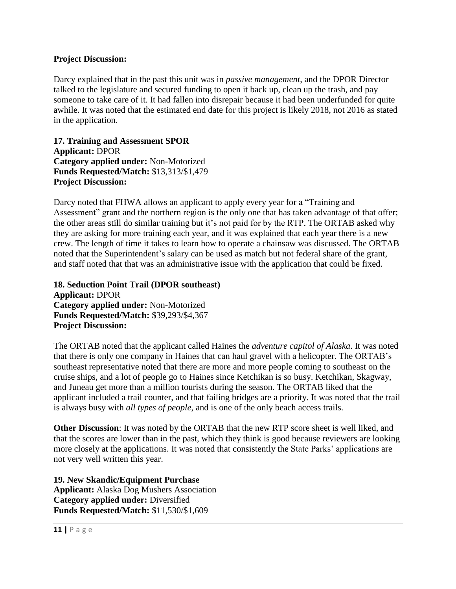#### **Project Discussion:**

Darcy explained that in the past this unit was in *passive management*, and the DPOR Director talked to the legislature and secured funding to open it back up, clean up the trash, and pay someone to take care of it. It had fallen into disrepair because it had been underfunded for quite awhile. It was noted that the estimated end date for this project is likely 2018, not 2016 as stated in the application.

**17. Training and Assessment SPOR Applicant:** DPOR **Category applied under:** Non-Motorized **Funds Requested/Match:** \$13,313/\$1,479 **Project Discussion:**

Darcy noted that FHWA allows an applicant to apply every year for a "Training and Assessment" grant and the northern region is the only one that has taken advantage of that offer; the other areas still do similar training but it's not paid for by the RTP. The ORTAB asked why they are asking for more training each year, and it was explained that each year there is a new crew. The length of time it takes to learn how to operate a chainsaw was discussed. The ORTAB noted that the Superintendent's salary can be used as match but not federal share of the grant, and staff noted that that was an administrative issue with the application that could be fixed.

**18. Seduction Point Trail (DPOR southeast) Applicant:** DPOR **Category applied under:** Non-Motorized **Funds Requested/Match:** \$39,293/\$4,367 **Project Discussion:**

The ORTAB noted that the applicant called Haines the *adventure capitol of Alaska*. It was noted that there is only one company in Haines that can haul gravel with a helicopter. The ORTAB's southeast representative noted that there are more and more people coming to southeast on the cruise ships, and a lot of people go to Haines since Ketchikan is so busy. Ketchikan, Skagway, and Juneau get more than a million tourists during the season. The ORTAB liked that the applicant included a trail counter, and that failing bridges are a priority. It was noted that the trail is always busy with *all types of people*, and is one of the only beach access trails.

**Other Discussion**: It was noted by the ORTAB that the new RTP score sheet is well liked, and that the scores are lower than in the past, which they think is good because reviewers are looking more closely at the applications. It was noted that consistently the State Parks' applications are not very well written this year.

**19. New Skandic/Equipment Purchase Applicant:** Alaska Dog Mushers Association **Category applied under:** Diversified **Funds Requested/Match:** \$11,530/\$1,609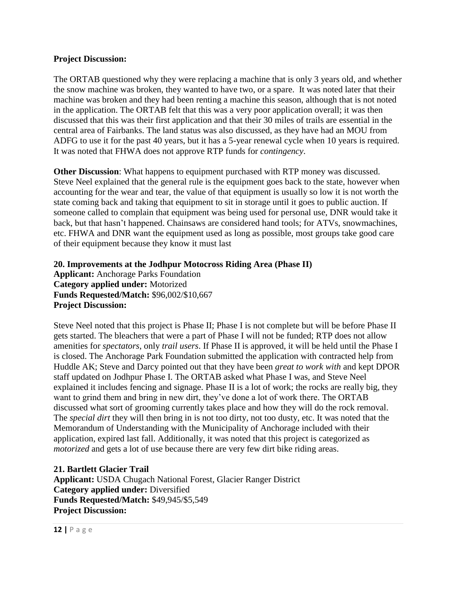#### **Project Discussion:**

The ORTAB questioned why they were replacing a machine that is only 3 years old, and whether the snow machine was broken, they wanted to have two, or a spare. It was noted later that their machine was broken and they had been renting a machine this season, although that is not noted in the application. The ORTAB felt that this was a very poor application overall; it was then discussed that this was their first application and that their 30 miles of trails are essential in the central area of Fairbanks. The land status was also discussed, as they have had an MOU from ADFG to use it for the past 40 years, but it has a 5-year renewal cycle when 10 years is required. It was noted that FHWA does not approve RTP funds for *contingency*.

**Other Discussion**: What happens to equipment purchased with RTP money was discussed. Steve Neel explained that the general rule is the equipment goes back to the state, however when accounting for the wear and tear, the value of that equipment is usually so low it is not worth the state coming back and taking that equipment to sit in storage until it goes to public auction. If someone called to complain that equipment was being used for personal use, DNR would take it back, but that hasn't happened. Chainsaws are considered hand tools; for ATVs, snowmachines, etc. FHWA and DNR want the equipment used as long as possible, most groups take good care of their equipment because they know it must last

**20. Improvements at the Jodhpur Motocross Riding Area (Phase II) Applicant:** Anchorage Parks Foundation **Category applied under:** Motorized **Funds Requested/Match:** \$96,002/\$10,667 **Project Discussion:**

Steve Neel noted that this project is Phase II; Phase I is not complete but will be before Phase II gets started. The bleachers that were a part of Phase I will not be funded; RTP does not allow amenities for *spectators*, only *trail users*. If Phase II is approved, it will be held until the Phase I is closed. The Anchorage Park Foundation submitted the application with contracted help from Huddle AK; Steve and Darcy pointed out that they have been *great to work with* and kept DPOR staff updated on Jodhpur Phase I. The ORTAB asked what Phase I was, and Steve Neel explained it includes fencing and signage. Phase II is a lot of work; the rocks are really big, they want to grind them and bring in new dirt, they've done a lot of work there. The ORTAB discussed what sort of grooming currently takes place and how they will do the rock removal. The *special dirt* they will then bring in is not too dirty, not too dusty, etc. It was noted that the Memorandum of Understanding with the Municipality of Anchorage included with their application, expired last fall. Additionally, it was noted that this project is categorized as *motorized* and gets a lot of use because there are very few dirt bike riding areas.

**21. Bartlett Glacier Trail Applicant:** USDA Chugach National Forest, Glacier Ranger District **Category applied under:** Diversified **Funds Requested/Match:** \$49,945/\$5,549 **Project Discussion:**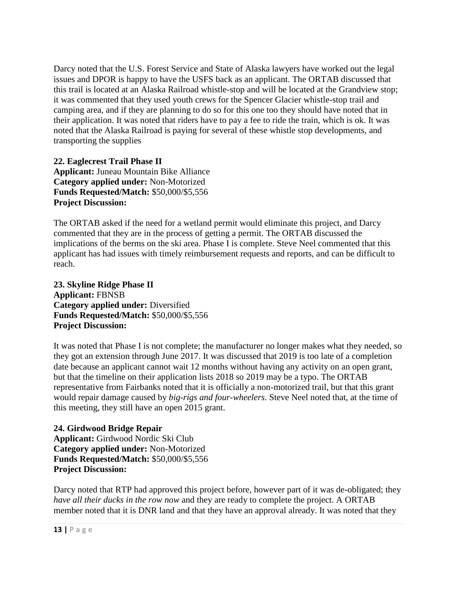Darcy noted that the U.S. Forest Service and State of Alaska lawyers have worked out the legal issues and DPOR is happy to have the USFS back as an applicant. The ORTAB discussed that this trail is located at an Alaska Railroad whistle-stop and will be located at the Grandview stop; it was commented that they used youth crews for the Spencer Glacier whistle-stop trail and camping area, and if they are planning to do so for this one too they should have noted that in their application. It was noted that riders have to pay a fee to ride the train, which is ok. It was noted that the Alaska Railroad is paying for several of these whistle stop developments, and transporting the supplies

**22. Eaglecrest Trail Phase II Applicant:** Juneau Mountain Bike Alliance **Category applied under:** Non-Motorized **Funds Requested/Match:** \$50,000/\$5,556 **Project Discussion:**

The ORTAB asked if the need for a wetland permit would eliminate this project, and Darcy commented that they are in the process of getting a permit. The ORTAB discussed the implications of the berms on the ski area. Phase I is complete. Steve Neel commented that this applicant has had issues with timely reimbursement requests and reports, and can be difficult to reach.

**23. Skyline Ridge Phase II Applicant:** FBNSB **Category applied under:** Diversified **Funds Requested/Match:** \$50,000/\$5,556 **Project Discussion:**

It was noted that Phase I is not complete; the manufacturer no longer makes what they needed, so they got an extension through June 2017. It was discussed that 2019 is too late of a completion date because an applicant cannot wait 12 months without having any activity on an open grant, but that the timeline on their application lists 2018 so 2019 may be a typo. The ORTAB representative from Fairbanks noted that it is officially a non-motorized trail, but that this grant would repair damage caused by *big-rigs and four-wheelers*. Steve Neel noted that, at the time of this meeting, they still have an open 2015 grant.

**24. Girdwood Bridge Repair Applicant:** Girdwood Nordic Ski Club **Category applied under:** Non-Motorized **Funds Requested/Match:** \$50,000/\$5,556 **Project Discussion:**

Darcy noted that RTP had approved this project before, however part of it was de-obligated; they *have all their ducks in the row now* and they are ready to complete the project. A ORTAB member noted that it is DNR land and that they have an approval already. It was noted that they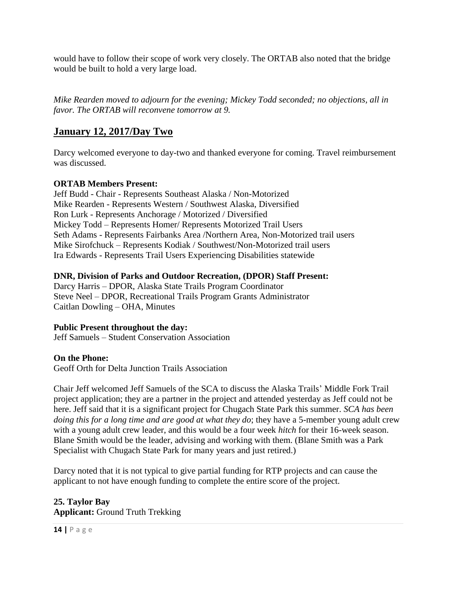would have to follow their scope of work very closely. The ORTAB also noted that the bridge would be built to hold a very large load.

*Mike Rearden moved to adjourn for the evening; Mickey Todd seconded; no objections, all in favor. The ORTAB will reconvene tomorrow at 9.* 

# **January 12, 2017/Day Two**

Darcy welcomed everyone to day-two and thanked everyone for coming. Travel reimbursement was discussed.

# **ORTAB Members Present:**

Jeff Budd - Chair - Represents Southeast Alaska / Non-Motorized Mike Rearden - Represents Western / Southwest Alaska, Diversified Ron Lurk - Represents Anchorage / Motorized / Diversified Mickey Todd – Represents Homer/ Represents Motorized Trail Users Seth Adams - Represents Fairbanks Area /Northern Area, Non-Motorized trail users Mike Sirofchuck – Represents Kodiak / Southwest/Non-Motorized trail users Ira Edwards - Represents Trail Users Experiencing Disabilities statewide

# **DNR, Division of Parks and Outdoor Recreation, (DPOR) Staff Present:**

Darcy Harris – DPOR, Alaska State Trails Program Coordinator Steve Neel – DPOR, Recreational Trails Program Grants Administrator Caitlan Dowling – OHA, Minutes

# **Public Present throughout the day:**

Jeff Samuels – Student Conservation Association

# **On the Phone:**

Geoff Orth for Delta Junction Trails Association

Chair Jeff welcomed Jeff Samuels of the SCA to discuss the Alaska Trails' Middle Fork Trail project application; they are a partner in the project and attended yesterday as Jeff could not be here. Jeff said that it is a significant project for Chugach State Park this summer. *SCA has been doing this for a long time and are good at what they do*; they have a 5-member young adult crew with a young adult crew leader, and this would be a four week *hitch* for their 16-week season. Blane Smith would be the leader, advising and working with them. (Blane Smith was a Park Specialist with Chugach State Park for many years and just retired.)

Darcy noted that it is not typical to give partial funding for RTP projects and can cause the applicant to not have enough funding to complete the entire score of the project.

# **25. Taylor Bay Applicant:** Ground Truth Trekking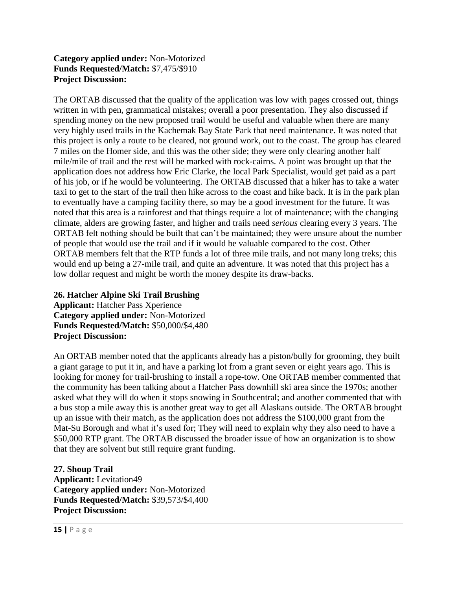# **Category applied under:** Non-Motorized **Funds Requested/Match:** \$7,475/\$910 **Project Discussion:**

The ORTAB discussed that the quality of the application was low with pages crossed out, things written in with pen, grammatical mistakes; overall a poor presentation. They also discussed if spending money on the new proposed trail would be useful and valuable when there are many very highly used trails in the Kachemak Bay State Park that need maintenance. It was noted that this project is only a route to be cleared, not ground work, out to the coast. The group has cleared 7 miles on the Homer side, and this was the other side; they were only clearing another half mile/mile of trail and the rest will be marked with rock-cairns. A point was brought up that the application does not address how Eric Clarke, the local Park Specialist, would get paid as a part of his job, or if he would be volunteering. The ORTAB discussed that a hiker has to take a water taxi to get to the start of the trail then hike across to the coast and hike back. It is in the park plan to eventually have a camping facility there, so may be a good investment for the future. It was noted that this area is a rainforest and that things require a lot of maintenance; with the changing climate, alders are growing faster, and higher and trails need *serious* clearing every 3 years. The ORTAB felt nothing should be built that can't be maintained; they were unsure about the number of people that would use the trail and if it would be valuable compared to the cost. Other ORTAB members felt that the RTP funds a lot of three mile trails, and not many long treks; this would end up being a 27-mile trail, and quite an adventure. It was noted that this project has a low dollar request and might be worth the money despite its draw-backs.

**26. Hatcher Alpine Ski Trail Brushing Applicant:** Hatcher Pass Xperience **Category applied under:** Non-Motorized **Funds Requested/Match:** \$50,000/\$4,480 **Project Discussion:**

An ORTAB member noted that the applicants already has a piston/bully for grooming, they built a giant garage to put it in, and have a parking lot from a grant seven or eight years ago. This is looking for money for trail-brushing to install a rope-tow. One ORTAB member commented that the community has been talking about a Hatcher Pass downhill ski area since the 1970s; another asked what they will do when it stops snowing in Southcentral; and another commented that with a bus stop a mile away this is another great way to get all Alaskans outside. The ORTAB brought up an issue with their match, as the application does not address the \$100,000 grant from the Mat-Su Borough and what it's used for; They will need to explain why they also need to have a \$50,000 RTP grant. The ORTAB discussed the broader issue of how an organization is to show that they are solvent but still require grant funding.

**27. Shoup Trail Applicant:** Levitation49 **Category applied under:** Non-Motorized **Funds Requested/Match:** \$39,573/\$4,400 **Project Discussion:**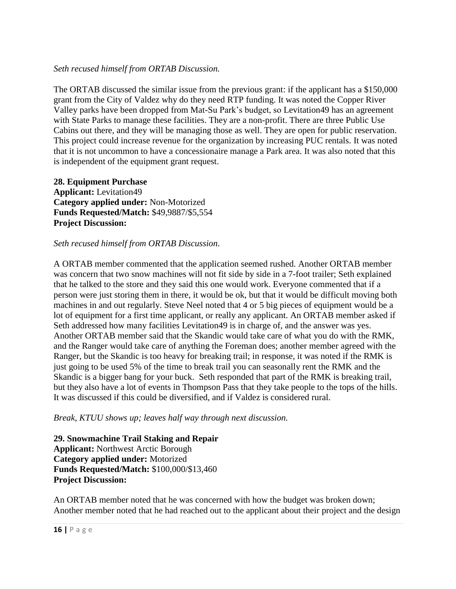#### *Seth recused himself from ORTAB Discussion.*

The ORTAB discussed the similar issue from the previous grant: if the applicant has a \$150,000 grant from the City of Valdez why do they need RTP funding. It was noted the Copper River Valley parks have been dropped from Mat-Su Park's budget, so Levitation49 has an agreement with State Parks to manage these facilities. They are a non-profit. There are three Public Use Cabins out there, and they will be managing those as well. They are open for public reservation. This project could increase revenue for the organization by increasing PUC rentals. It was noted that it is not uncommon to have a concessionaire manage a Park area. It was also noted that this is independent of the equipment grant request.

**28. Equipment Purchase Applicant:** Levitation49 **Category applied under:** Non-Motorized **Funds Requested/Match:** \$49,9887/\$5,554 **Project Discussion:**

#### *Seth recused himself from ORTAB Discussion*.

A ORTAB member commented that the application seemed rushed. Another ORTAB member was concern that two snow machines will not fit side by side in a 7-foot trailer; Seth explained that he talked to the store and they said this one would work. Everyone commented that if a person were just storing them in there, it would be ok, but that it would be difficult moving both machines in and out regularly. Steve Neel noted that 4 or 5 big pieces of equipment would be a lot of equipment for a first time applicant, or really any applicant. An ORTAB member asked if Seth addressed how many facilities Levitation49 is in charge of, and the answer was yes. Another ORTAB member said that the Skandic would take care of what you do with the RMK, and the Ranger would take care of anything the Foreman does; another member agreed with the Ranger, but the Skandic is too heavy for breaking trail; in response, it was noted if the RMK is just going to be used 5% of the time to break trail you can seasonally rent the RMK and the Skandic is a bigger bang for your buck. Seth responded that part of the RMK is breaking trail, but they also have a lot of events in Thompson Pass that they take people to the tops of the hills. It was discussed if this could be diversified, and if Valdez is considered rural.

*Break, KTUU shows up; leaves half way through next discussion.* 

**29. Snowmachine Trail Staking and Repair Applicant:** Northwest Arctic Borough **Category applied under:** Motorized **Funds Requested/Match:** \$100,000/\$13,460 **Project Discussion:**

An ORTAB member noted that he was concerned with how the budget was broken down; Another member noted that he had reached out to the applicant about their project and the design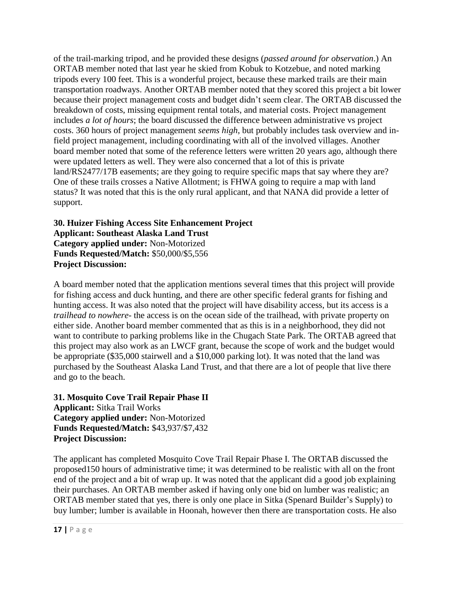of the trail-marking tripod, and he provided these designs (*passed around for observation*.) An ORTAB member noted that last year he skied from Kobuk to Kotzebue, and noted marking tripods every 100 feet. This is a wonderful project, because these marked trails are their main transportation roadways. Another ORTAB member noted that they scored this project a bit lower because their project management costs and budget didn't seem clear. The ORTAB discussed the breakdown of costs, missing equipment rental totals, and material costs. Project management includes *a lot of hours*; the board discussed the difference between administrative vs project costs. 360 hours of project management *seems high*, but probably includes task overview and infield project management, including coordinating with all of the involved villages. Another board member noted that some of the reference letters were written 20 years ago, although there were updated letters as well. They were also concerned that a lot of this is private land/RS2477/17B easements; are they going to require specific maps that say where they are? One of these trails crosses a Native Allotment; is FHWA going to require a map with land status? It was noted that this is the only rural applicant, and that NANA did provide a letter of support.

## **30. Huizer Fishing Access Site Enhancement Project Applicant: Southeast Alaska Land Trust Category applied under:** Non-Motorized **Funds Requested/Match:** \$50,000/\$5,556 **Project Discussion:**

A board member noted that the application mentions several times that this project will provide for fishing access and duck hunting, and there are other specific federal grants for fishing and hunting access. It was also noted that the project will have disability access, but its access is a *trailhead to nowhere*- the access is on the ocean side of the trailhead, with private property on either side. Another board member commented that as this is in a neighborhood, they did not want to contribute to parking problems like in the Chugach State Park. The ORTAB agreed that this project may also work as an LWCF grant, because the scope of work and the budget would be appropriate (\$35,000 stairwell and a \$10,000 parking lot). It was noted that the land was purchased by the Southeast Alaska Land Trust, and that there are a lot of people that live there and go to the beach.

# **31. Mosquito Cove Trail Repair Phase II Applicant:** Sitka Trail Works **Category applied under:** Non-Motorized **Funds Requested/Match:** \$43,937/\$7,432 **Project Discussion:**

The applicant has completed Mosquito Cove Trail Repair Phase I. The ORTAB discussed the proposed150 hours of administrative time; it was determined to be realistic with all on the front end of the project and a bit of wrap up. It was noted that the applicant did a good job explaining their purchases. An ORTAB member asked if having only one bid on lumber was realistic; an ORTAB member stated that yes, there is only one place in Sitka (Spenard Builder's Supply) to buy lumber; lumber is available in Hoonah, however then there are transportation costs. He also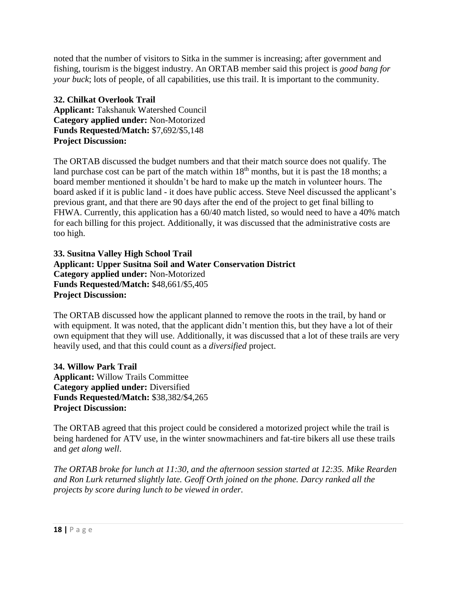noted that the number of visitors to Sitka in the summer is increasing; after government and fishing, tourism is the biggest industry. An ORTAB member said this project is *good bang for your buck*; lots of people, of all capabilities, use this trail. It is important to the community.

**32. Chilkat Overlook Trail Applicant:** Takshanuk Watershed Council **Category applied under:** Non-Motorized **Funds Requested/Match:** \$7,692/\$5,148 **Project Discussion:**

The ORTAB discussed the budget numbers and that their match source does not qualify. The land purchase cost can be part of the match within  $18<sup>th</sup>$  months, but it is past the 18 months; a board member mentioned it shouldn't be hard to make up the match in volunteer hours. The board asked if it is public land - it does have public access. Steve Neel discussed the applicant's previous grant, and that there are 90 days after the end of the project to get final billing to FHWA. Currently, this application has a 60/40 match listed, so would need to have a 40% match for each billing for this project. Additionally, it was discussed that the administrative costs are too high.

**33. Susitna Valley High School Trail Applicant: Upper Susitna Soil and Water Conservation District Category applied under:** Non-Motorized **Funds Requested/Match:** \$48,661/\$5,405 **Project Discussion:**

The ORTAB discussed how the applicant planned to remove the roots in the trail, by hand or with equipment. It was noted, that the applicant didn't mention this, but they have a lot of their own equipment that they will use. Additionally, it was discussed that a lot of these trails are very heavily used, and that this could count as a *diversified* project.

**34. Willow Park Trail Applicant:** Willow Trails Committee **Category applied under:** Diversified **Funds Requested/Match:** \$38,382/\$4,265 **Project Discussion:**

The ORTAB agreed that this project could be considered a motorized project while the trail is being hardened for ATV use, in the winter snowmachiners and fat-tire bikers all use these trails and *get along well*.

*The ORTAB broke for lunch at 11:30, and the afternoon session started at 12:35. Mike Rearden and Ron Lurk returned slightly late. Geoff Orth joined on the phone. Darcy ranked all the projects by score during lunch to be viewed in order.*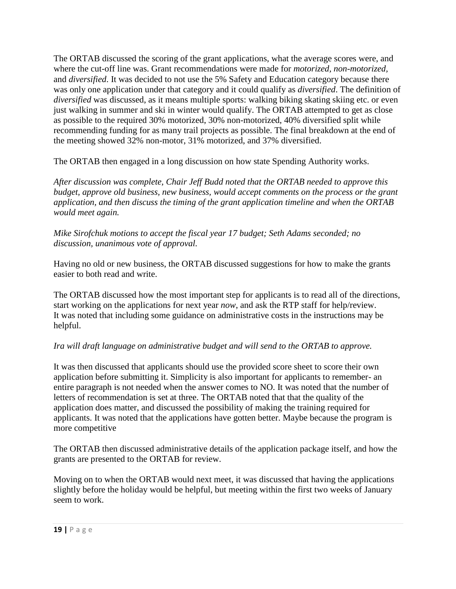The ORTAB discussed the scoring of the grant applications, what the average scores were, and where the cut-off line was. Grant recommendations were made for *motorized, non-motorized,*  and *diversified*. It was decided to not use the 5% Safety and Education category because there was only one application under that category and it could qualify as *diversified*. The definition of *diversified* was discussed, as it means multiple sports: walking biking skating skiing etc. or even just walking in summer and ski in winter would qualify. The ORTAB attempted to get as close as possible to the required 30% motorized, 30% non-motorized, 40% diversified split while recommending funding for as many trail projects as possible. The final breakdown at the end of the meeting showed 32% non-motor, 31% motorized, and 37% diversified.

The ORTAB then engaged in a long discussion on how state Spending Authority works.

*After discussion was complete, Chair Jeff Budd noted that the ORTAB needed to approve this budget, approve old business, new business, would accept comments on the process or the grant application, and then discuss the timing of the grant application timeline and when the ORTAB would meet again.* 

*Mike Sirofchuk motions to accept the fiscal year 17 budget; Seth Adams seconded; no discussion, unanimous vote of approval.* 

Having no old or new business, the ORTAB discussed suggestions for how to make the grants easier to both read and write.

The ORTAB discussed how the most important step for applicants is to read all of the directions, start working on the applications for next year *now*, and ask the RTP staff for help/review. It was noted that including some guidance on administrative costs in the instructions may be helpful.

# *Ira will draft language on administrative budget and will send to the ORTAB to approve.*

It was then discussed that applicants should use the provided score sheet to score their own application before submitting it. Simplicity is also important for applicants to remember- an entire paragraph is not needed when the answer comes to NO. It was noted that the number of letters of recommendation is set at three. The ORTAB noted that that the quality of the application does matter, and discussed the possibility of making the training required for applicants. It was noted that the applications have gotten better. Maybe because the program is more competitive

The ORTAB then discussed administrative details of the application package itself, and how the grants are presented to the ORTAB for review.

Moving on to when the ORTAB would next meet, it was discussed that having the applications slightly before the holiday would be helpful, but meeting within the first two weeks of January seem to work.